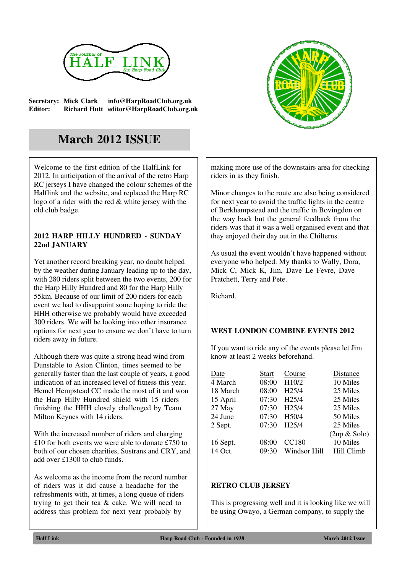

**Secretary: Mick Clark info@HarpRoadClub.org.uk Editor: Richard Hutt editor@HarpRoadClub.org.uk**



## **March 2012 ISSUE**

Welcome to the first edition of the HalfLink for 2012. In anticipation of the arrival of the retro Harp RC jerseys I have changed the colour schemes of the Halflink and the website, and replaced the Harp RC logo of a rider with the red & white jersey with the old club badge.

## **2012 HARP HILLY HUNDRED - SUNDAY 22nd JANUARY**

Yet another record breaking year, no doubt helped by the weather during January leading up to the day, with 280 riders split between the two events, 200 for the Harp Hilly Hundred and 80 for the Harp Hilly 55km. Because of our limit of 200 riders for each event we had to disappoint some hoping to ride the HHH otherwise we probably would have exceeded 300 riders. We will be looking into other insurance options for next year to ensure we don't have to turn riders away in future.

Although there was quite a strong head wind from Dunstable to Aston Clinton, times seemed to be generally faster than the last couple of years, a good indication of an increased level of fitness this year. Hemel Hempstead CC made the most of it and won the Harp Hilly Hundred shield with 15 riders finishing the HHH closely challenged by Team Milton Keynes with 14 riders.

With the increased number of riders and charging £10 for both events we were able to donate £750 to both of our chosen charities, Sustrans and CRY, and add over £1300 to club funds.

As welcome as the income from the record number of riders was it did cause a headache for the refreshments with, at times, a long queue of riders trying to get their tea & cake. We will need to address this problem for next year probably by

making more use of the downstairs area for checking riders in as they finish.

Minor changes to the route are also being considered for next year to avoid the traffic lights in the centre of Berkhampstead and the traffic in Bovingdon on the way back but the general feedback from the riders was that it was a well organised event and that they enjoyed their day out in the Chilterns.

As usual the event wouldn't have happened without everyone who helped. My thanks to Wally, Dora, Mick C, Mick K, Jim, Dave Le Fevre, Dave Pratchett, Terry and Pete.

Richard.

## **WEST LONDON COMBINE EVENTS 2012**

If you want to ride any of the events please let Jim know at least 2 weeks beforehand.

| Date     | <b>Start</b> | Course             | Distance              |
|----------|--------------|--------------------|-----------------------|
| 4 March  | 08:00        | H10/2              | 10 Miles              |
| 18 March | 08:00        | H <sub>25</sub> /4 | 25 Miles              |
| 15 April | 07:30        | H <sub>25</sub> /4 | 25 Miles              |
| 27 May   | 07:30        | H <sub>25</sub> /4 | 25 Miles              |
| 24 June  | 07:30        | H50/4              | 50 Miles              |
| 2 Sept.  | 07:30        | H <sub>25</sub> /4 | 25 Miles              |
|          |              |                    | $(2up & \text{Solo})$ |
| 16 Sept. | 08:00        | <b>CC180</b>       | 10 Miles              |
| 14 Oct.  | 09:30        | Windsor Hill       | Hill Climb            |

## **RETRO CLUB JERSEY**

This is progressing well and it is looking like we will be using Owayo, a German company, to supply the